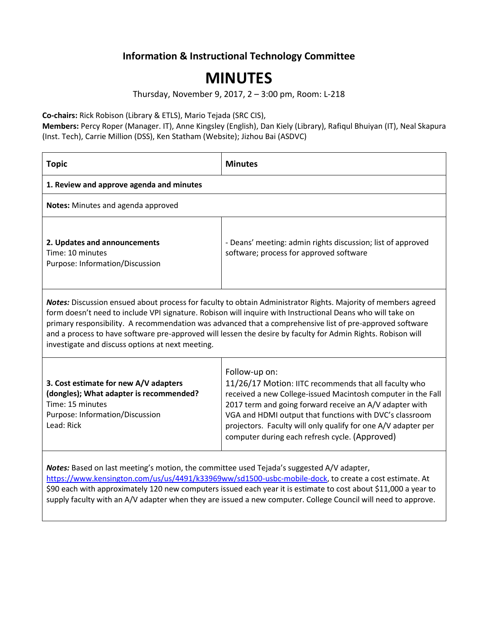## **Information & Instructional Technology Committee**

## **MINUTES**

Thursday, November 9, 2017, 2 – 3:00 pm, Room: L-218

**Co-chairs:** Rick Robison (Library & ETLS), Mario Tejada (SRC CIS),

**Members:** Percy Roper (Manager. IT), Anne Kingsley (English), Dan Kiely (Library), Rafiqul Bhuiyan (IT), Neal Skapura (Inst. Tech), Carrie Million (DSS), Ken Statham (Website); Jizhou Bai (ASDVC)

| <b>Topic</b>                                                                                                                                                                                                                                                                                                                                                                                                                                                                                                | <b>Minutes</b>                                                                                                                                                                                                                                                                                                                                                                  |  |
|-------------------------------------------------------------------------------------------------------------------------------------------------------------------------------------------------------------------------------------------------------------------------------------------------------------------------------------------------------------------------------------------------------------------------------------------------------------------------------------------------------------|---------------------------------------------------------------------------------------------------------------------------------------------------------------------------------------------------------------------------------------------------------------------------------------------------------------------------------------------------------------------------------|--|
| 1. Review and approve agenda and minutes                                                                                                                                                                                                                                                                                                                                                                                                                                                                    |                                                                                                                                                                                                                                                                                                                                                                                 |  |
| Notes: Minutes and agenda approved                                                                                                                                                                                                                                                                                                                                                                                                                                                                          |                                                                                                                                                                                                                                                                                                                                                                                 |  |
| 2. Updates and announcements<br>Time: 10 minutes<br>Purpose: Information/Discussion                                                                                                                                                                                                                                                                                                                                                                                                                         | - Deans' meeting: admin rights discussion; list of approved<br>software; process for approved software                                                                                                                                                                                                                                                                          |  |
| Notes: Discussion ensued about process for faculty to obtain Administrator Rights. Majority of members agreed<br>form doesn't need to include VPI signature. Robison will inquire with Instructional Deans who will take on<br>primary responsibility. A recommendation was advanced that a comprehensive list of pre-approved software<br>and a process to have software pre-approved will lessen the desire by faculty for Admin Rights. Robison will<br>investigate and discuss options at next meeting. |                                                                                                                                                                                                                                                                                                                                                                                 |  |
| 3. Cost estimate for new A/V adapters<br>(dongles); What adapter is recommended?<br>Time: 15 minutes<br>Purpose: Information/Discussion<br>Lead: Rick                                                                                                                                                                                                                                                                                                                                                       | Follow-up on:<br>11/26/17 Motion: IITC recommends that all faculty who<br>received a new College-issued Macintosh computer in the Fall<br>2017 term and going forward receive an A/V adapter with<br>VGA and HDMI output that functions with DVC's classroom<br>projectors. Faculty will only qualify for one A/V adapter per<br>computer during each refresh cycle. (Approved) |  |
|                                                                                                                                                                                                                                                                                                                                                                                                                                                                                                             |                                                                                                                                                                                                                                                                                                                                                                                 |  |

*Notes:* Based on last meeting's motion, the committee used Tejada's suggested A/V adapter, [https://www.kensington.com/us/us/4491/k33969ww/sd1500-usbc-mobile-dock,](https://www.kensington.com/us/us/4491/k33969ww/sd1500-usbc-mobile-dock) to create a cost estimate. At \$90 each with approximately 120 new computers issued each year it is estimate to cost about \$11,000 a year to supply faculty with an A/V adapter when they are issued a new computer. College Council will need to approve.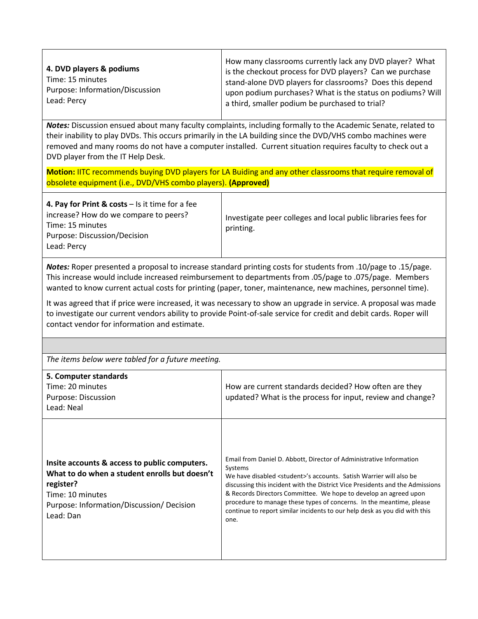*Notes:* Discussion ensued about many faculty complaints, including formally to the Academic Senate, related to their inability to play DVDs. This occurs primarily in the LA building since the DVD/VHS combo machines were removed and many rooms do not have a computer installed. Current situation requires faculty to check out a DVD player from the IT Help Desk.

**Motion:** IITC recommends buying DVD players for LA Buiding and any other classrooms that require removal of obsolete equipment (i.e., DVD/VHS combo players). **(Approved)**

*Notes:* Roper presented a proposal to increase standard printing costs for students from .10/page to .15/page. This increase would include increased reimbursement to departments from .05/page to .075/page. Members wanted to know current actual costs for printing (paper, toner, maintenance, new machines, personnel time).

It was agreed that if price were increased, it was necessary to show an upgrade in service. A proposal was made to investigate our current vendors ability to provide Point-of-sale service for credit and debit cards. Roper will contact vendor for information and estimate.

*The items below were tabled for a future meeting.*

| 5. Computer standards<br>Time: 20 minutes<br>Purpose: Discussion<br>Lead: Neal                                                                                                            | How are current standards decided? How often are they<br>updated? What is the process for input, review and change?                                                                                                                                                                                                                                                                                                                                                                        |
|-------------------------------------------------------------------------------------------------------------------------------------------------------------------------------------------|--------------------------------------------------------------------------------------------------------------------------------------------------------------------------------------------------------------------------------------------------------------------------------------------------------------------------------------------------------------------------------------------------------------------------------------------------------------------------------------------|
| Insite accounts & access to public computers.<br>What to do when a student enrolls but doesn't<br>register?<br>Time: 10 minutes<br>Purpose: Information/Discussion/ Decision<br>Lead: Dan | Email from Daniel D. Abbott, Director of Administrative Information<br>Systems<br>We have disabled <student>'s accounts. Satish Warrier will also be<br/>discussing this incident with the District Vice Presidents and the Admissions<br/>&amp; Records Directors Committee. We hope to develop an agreed upon<br/>procedure to manage these types of concerns. In the meantime, please<br/>continue to report similar incidents to our help desk as you did with this<br/>one.</student> |